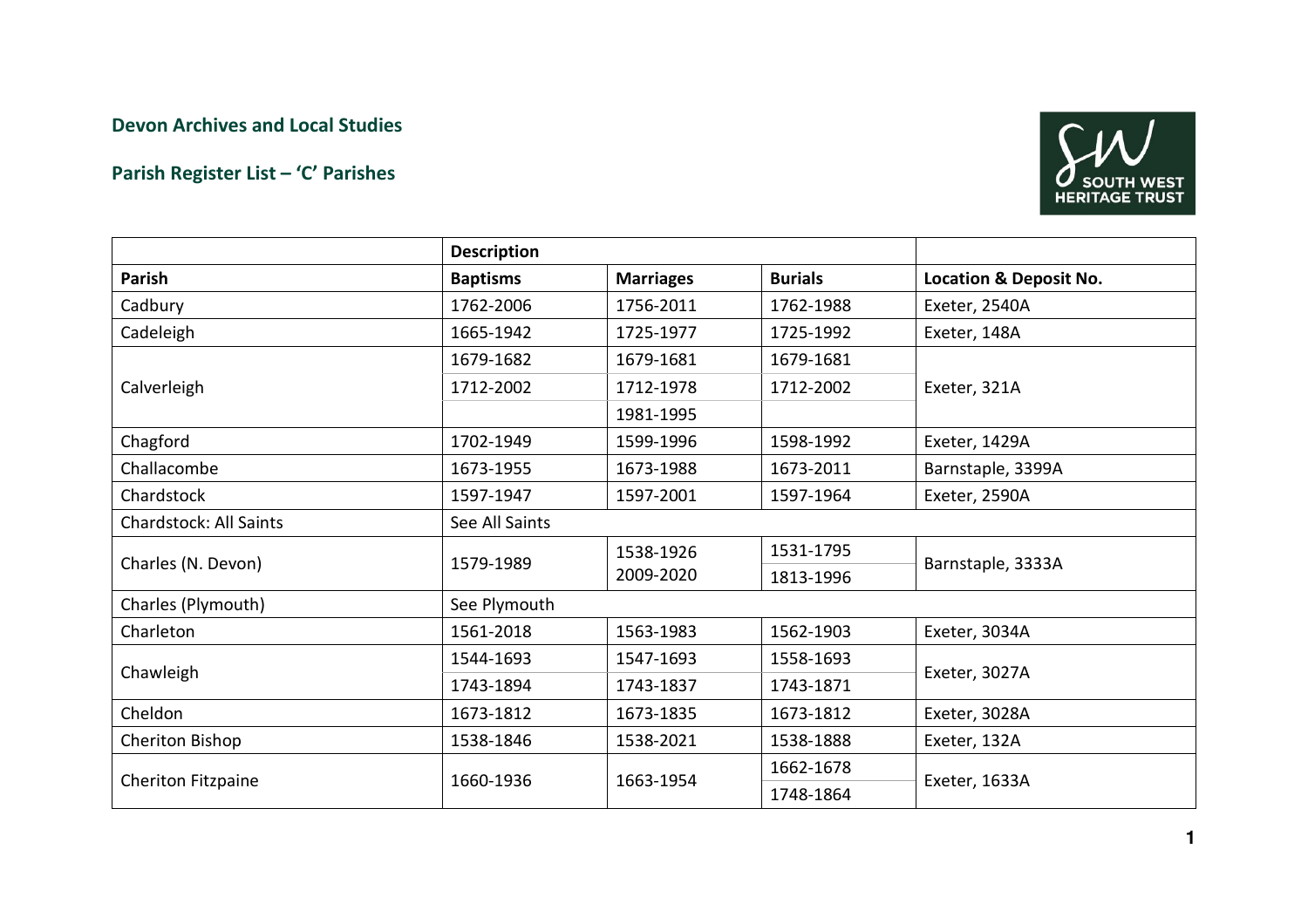## Devon Archives and Local Studies

## Parish Register List – 'C' Parishes



|                               | <b>Description</b> |                        |                |                                   |  |
|-------------------------------|--------------------|------------------------|----------------|-----------------------------------|--|
| <b>Parish</b>                 | <b>Baptisms</b>    | <b>Marriages</b>       | <b>Burials</b> | <b>Location &amp; Deposit No.</b> |  |
| Cadbury                       | 1762-2006          | 1756-2011              | 1762-1988      | Exeter, 2540A                     |  |
| Cadeleigh                     | 1665-1942          | 1725-1977              | 1725-1992      | Exeter, 148A                      |  |
| Calverleigh                   | 1679-1682          | 1679-1681              | 1679-1681      | Exeter, 321A                      |  |
|                               | 1712-2002          | 1712-1978              | 1712-2002      |                                   |  |
|                               |                    | 1981-1995              |                |                                   |  |
| Chagford                      | 1702-1949          | 1599-1996              | 1598-1992      | Exeter, 1429A                     |  |
| Challacombe                   | 1673-1955          | 1673-1988              | 1673-2011      | Barnstaple, 3399A                 |  |
| Chardstock                    | 1597-1947          | 1597-2001              | 1597-1964      | Exeter, 2590A                     |  |
| <b>Chardstock: All Saints</b> | See All Saints     |                        |                |                                   |  |
| Charles (N. Devon)            |                    | 1538-1926<br>2009-2020 | 1531-1795      | Barnstaple, 3333A                 |  |
|                               | 1579-1989          |                        | 1813-1996      |                                   |  |
| Charles (Plymouth)            | See Plymouth       |                        |                |                                   |  |
| Charleton                     | 1561-2018          | 1563-1983              | 1562-1903      | Exeter, 3034A                     |  |
| Chawleigh                     | 1544-1693          | 1547-1693              | 1558-1693      | Exeter, 3027A                     |  |
|                               | 1743-1894          | 1743-1837              | 1743-1871      |                                   |  |
| Cheldon                       | 1673-1812          | 1673-1835              | 1673-1812      | Exeter, 3028A                     |  |
| Cheriton Bishop               | 1538-1846          | 1538-2021              | 1538-1888      | Exeter, 132A                      |  |
| Cheriton Fitzpaine            | 1660-1936          |                        | 1662-1678      |                                   |  |
|                               |                    | 1663-1954              | 1748-1864      | Exeter, 1633A                     |  |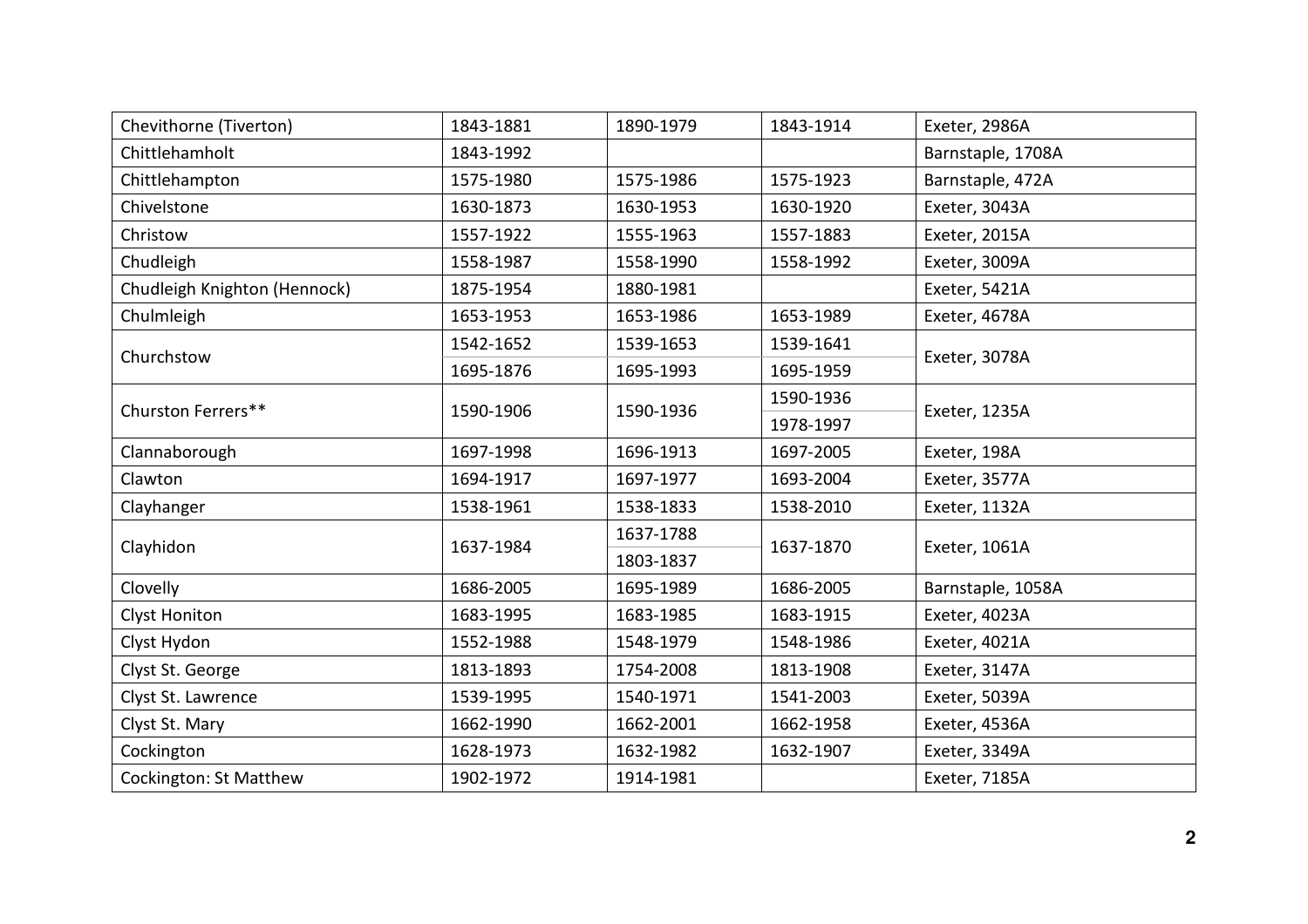| Chevithorne (Tiverton)        | 1843-1881 | 1890-1979 | 1843-1914 | Exeter, 2986A     |
|-------------------------------|-----------|-----------|-----------|-------------------|
| Chittlehamholt                | 1843-1992 |           |           | Barnstaple, 1708A |
| Chittlehampton                | 1575-1980 | 1575-1986 | 1575-1923 | Barnstaple, 472A  |
| Chivelstone                   | 1630-1873 | 1630-1953 | 1630-1920 | Exeter, 3043A     |
| Christow                      | 1557-1922 | 1555-1963 | 1557-1883 | Exeter, 2015A     |
| Chudleigh                     | 1558-1987 | 1558-1990 | 1558-1992 | Exeter, 3009A     |
| Chudleigh Knighton (Hennock)  | 1875-1954 | 1880-1981 |           | Exeter, 5421A     |
| Chulmleigh                    | 1653-1953 | 1653-1986 | 1653-1989 | Exeter, 4678A     |
| Churchstow                    | 1542-1652 | 1539-1653 | 1539-1641 | Exeter, 3078A     |
|                               | 1695-1876 | 1695-1993 | 1695-1959 |                   |
| Churston Ferrers**            | 1590-1906 | 1590-1936 | 1590-1936 | Exeter, 1235A     |
|                               |           |           | 1978-1997 |                   |
| Clannaborough                 | 1697-1998 | 1696-1913 | 1697-2005 | Exeter, 198A      |
| Clawton                       | 1694-1917 | 1697-1977 | 1693-2004 | Exeter, 3577A     |
| Clayhanger                    | 1538-1961 | 1538-1833 | 1538-2010 | Exeter, 1132A     |
| Clayhidon                     | 1637-1984 | 1637-1788 | 1637-1870 | Exeter, 1061A     |
|                               |           | 1803-1837 |           |                   |
| Clovelly                      | 1686-2005 | 1695-1989 | 1686-2005 | Barnstaple, 1058A |
| <b>Clyst Honiton</b>          | 1683-1995 | 1683-1985 | 1683-1915 | Exeter, 4023A     |
| Clyst Hydon                   | 1552-1988 | 1548-1979 | 1548-1986 | Exeter, 4021A     |
| Clyst St. George              | 1813-1893 | 1754-2008 | 1813-1908 | Exeter, 3147A     |
| Clyst St. Lawrence            | 1539-1995 | 1540-1971 | 1541-2003 | Exeter, 5039A     |
| Clyst St. Mary                | 1662-1990 | 1662-2001 | 1662-1958 | Exeter, 4536A     |
| Cockington                    | 1628-1973 | 1632-1982 | 1632-1907 | Exeter, 3349A     |
| <b>Cockington: St Matthew</b> | 1902-1972 | 1914-1981 |           | Exeter, 7185A     |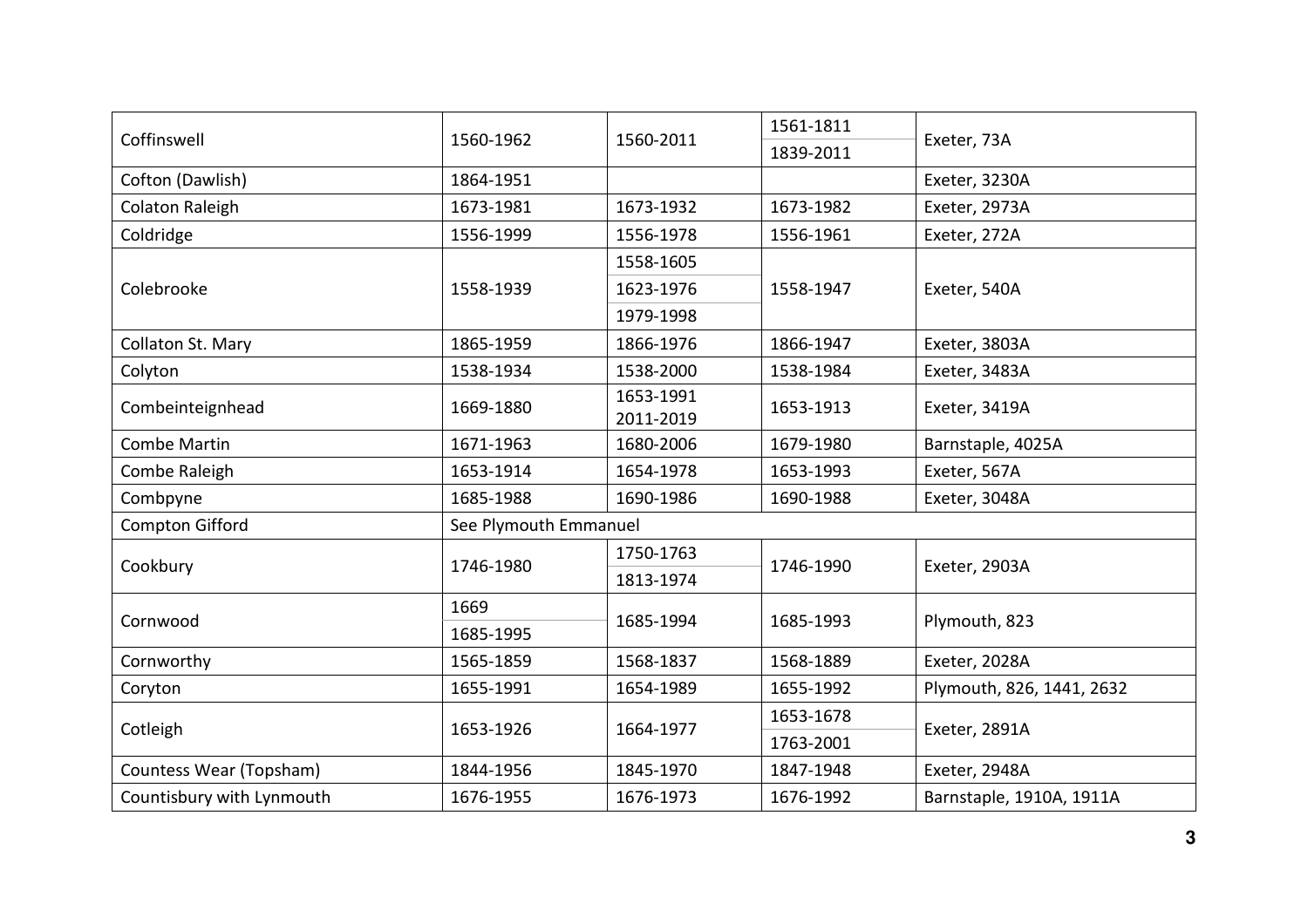| Coffinswell               | 1560-1962             |           | 1561-1811 |                           |  |
|---------------------------|-----------------------|-----------|-----------|---------------------------|--|
|                           |                       | 1560-2011 | 1839-2011 | Exeter, 73A               |  |
| Cofton (Dawlish)          | 1864-1951             |           |           | Exeter, 3230A             |  |
| Colaton Raleigh           | 1673-1981             | 1673-1932 | 1673-1982 | Exeter, 2973A             |  |
| Coldridge                 | 1556-1999             | 1556-1978 | 1556-1961 | Exeter, 272A              |  |
|                           | 1558-1939             | 1558-1605 | 1558-1947 | Exeter, 540A              |  |
| Colebrooke                |                       | 1623-1976 |           |                           |  |
|                           |                       | 1979-1998 |           |                           |  |
| Collaton St. Mary         | 1865-1959             | 1866-1976 | 1866-1947 | Exeter, 3803A             |  |
| Colyton                   | 1538-1934             | 1538-2000 | 1538-1984 | Exeter, 3483A             |  |
| Combeinteignhead          | 1669-1880             | 1653-1991 | 1653-1913 | Exeter, 3419A             |  |
|                           |                       | 2011-2019 |           |                           |  |
| Combe Martin              | 1671-1963             | 1680-2006 | 1679-1980 | Barnstaple, 4025A         |  |
| Combe Raleigh             | 1653-1914             | 1654-1978 | 1653-1993 | Exeter, 567A              |  |
| Combpyne                  | 1685-1988             | 1690-1986 | 1690-1988 | Exeter, 3048A             |  |
| <b>Compton Gifford</b>    | See Plymouth Emmanuel |           |           |                           |  |
|                           | 1746-1980             | 1750-1763 | 1746-1990 | Exeter, 2903A             |  |
| Cookbury                  |                       | 1813-1974 |           |                           |  |
|                           | 1669                  |           | 1685-1993 | Plymouth, 823             |  |
| Cornwood                  | 1685-1995             | 1685-1994 |           |                           |  |
| Cornworthy                | 1565-1859             | 1568-1837 | 1568-1889 | Exeter, 2028A             |  |
| Coryton                   | 1655-1991             | 1654-1989 | 1655-1992 | Plymouth, 826, 1441, 2632 |  |
|                           | 1653-1926             |           | 1653-1678 | Exeter, 2891A             |  |
| Cotleigh                  |                       | 1664-1977 | 1763-2001 |                           |  |
| Countess Wear (Topsham)   | 1844-1956             | 1845-1970 | 1847-1948 | Exeter, 2948A             |  |
| Countisbury with Lynmouth | 1676-1955             | 1676-1973 | 1676-1992 | Barnstaple, 1910A, 1911A  |  |